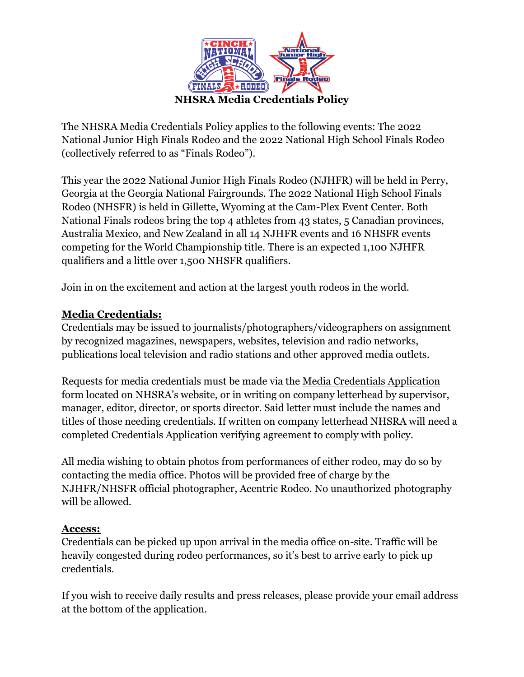

The NHSRA Media Credentials Policy applies to the following events: The 2022 National Junior High Finals Rodeo and the 2022 National High School Finals Rodeo (collectively referred to as "Finals Rodeo").

This year the 2022 National Junior High Finals Rodeo (NJHFR) will be held in Perry, Georgia at the Georgia National Fairgrounds. The 2022 National High School Finals Rodeo (NHSFR) is held in Gillette, Wyoming at the Cam-Plex Event Center. Both National Finals rodeos bring the top 4 athletes from 43 states, 5 Canadian provinces, Australia Mexico, and New Zealand in all 14 NJHFR events and 16 NHSFR events competing for the World Championship title. There is an expected 1,100 NJHFR qualifiers and a little over 1,500 NHSFR qualifiers.

Join in on the excitement and action at the largest youth rodeos in the world.

# **Media Credentials:**

Credentials may be issued to journalists/photographers/videographers on assignment by recognized magazines, newspapers, websites, television and radio networks, publications local television and radio stations and other approved media outlets.

Requests for media credentials must be made via the Media Credentials Application form located on NHSRA's website, or in writing on company letterhead by supervisor, manager, editor, director, or sports director. Said letter must include the names and titles of those needing credentials. If written on company letterhead NHSRA will need a completed Credentials Application verifying agreement to comply with policy.

All media wishing to obtain photos from performances of either rodeo, may do so by contacting the media office. Photos will be provided free of charge by the NJHFR/NHSFR official photographer, Acentric Rodeo. No unauthorized photography will be allowed.

### **Access:**

Credentials can be picked up upon arrival in the media office on-site. Traffic will be heavily congested during rodeo performances, so it's best to arrive early to pick up credentials.

If you wish to receive daily results and press releases, please provide your email address at the bottom of the application.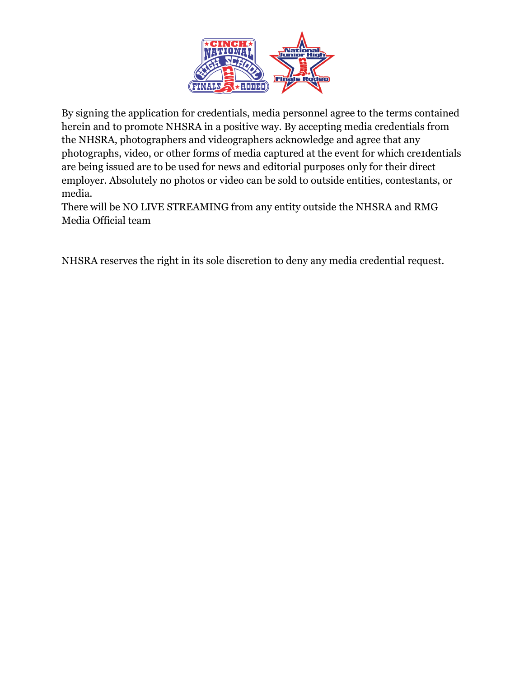

By signing the application for credentials, media personnel agree to the terms contained herein and to promote NHSRA in a positive way. By accepting media credentials from the NHSRA, photographers and videographers acknowledge and agree that any photographs, video, or other forms of media captured at the event for which cre1dentials are being issued are to be used for news and editorial purposes only for their direct employer. Absolutely no photos or video can be sold to outside entities, contestants, or media.

There will be NO LIVE STREAMING from any entity outside the NHSRA and RMG Media Official team

NHSRA reserves the right in its sole discretion to deny any media credential request.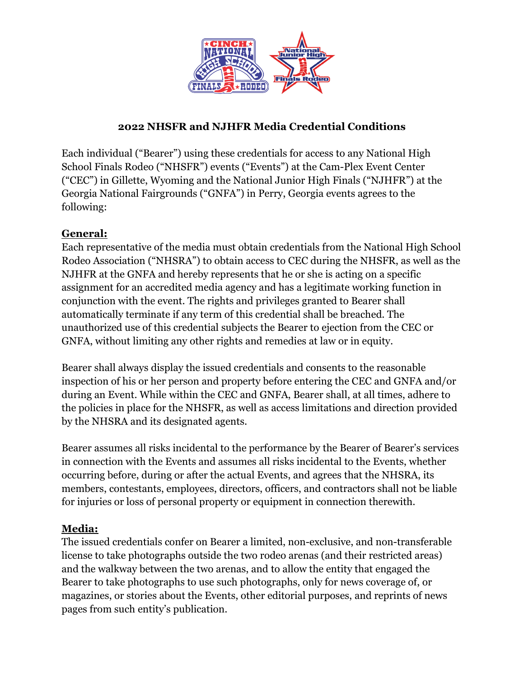

# **2022 NHSFR and NJHFR Media Credential Conditions**

Each individual ("Bearer") using these credentials for access to any National High School Finals Rodeo ("NHSFR") events ("Events") at the Cam-Plex Event Center ("CEC") in Gillette, Wyoming and the National Junior High Finals ("NJHFR") at the Georgia National Fairgrounds ("GNFA") in Perry, Georgia events agrees to the following:

## **General:**

Each representative of the media must obtain credentials from the National High School Rodeo Association ("NHSRA") to obtain access to CEC during the NHSFR, as well as the NJHFR at the GNFA and hereby represents that he or she is acting on a specific assignment for an accredited media agency and has a legitimate working function in conjunction with the event. The rights and privileges granted to Bearer shall automatically terminate if any term of this credential shall be breached. The unauthorized use of this credential subjects the Bearer to ejection from the CEC or GNFA, without limiting any other rights and remedies at law or in equity.

Bearer shall always display the issued credentials and consents to the reasonable inspection of his or her person and property before entering the CEC and GNFA and/or during an Event. While within the CEC and GNFA, Bearer shall, at all times, adhere to the policies in place for the NHSFR, as well as access limitations and direction provided by the NHSRA and its designated agents.

Bearer assumes all risks incidental to the performance by the Bearer of Bearer's services in connection with the Events and assumes all risks incidental to the Events, whether occurring before, during or after the actual Events, and agrees that the NHSRA, its members, contestants, employees, directors, officers, and contractors shall not be liable for injuries or loss of personal property or equipment in connection therewith.

### **Media:**

The issued credentials confer on Bearer a limited, non-exclusive, and non-transferable license to take photographs outside the two rodeo arenas (and their restricted areas) and the walkway between the two arenas, and to allow the entity that engaged the Bearer to take photographs to use such photographs, only for news coverage of, or magazines, or stories about the Events, other editorial purposes, and reprints of news pages from such entity's publication.